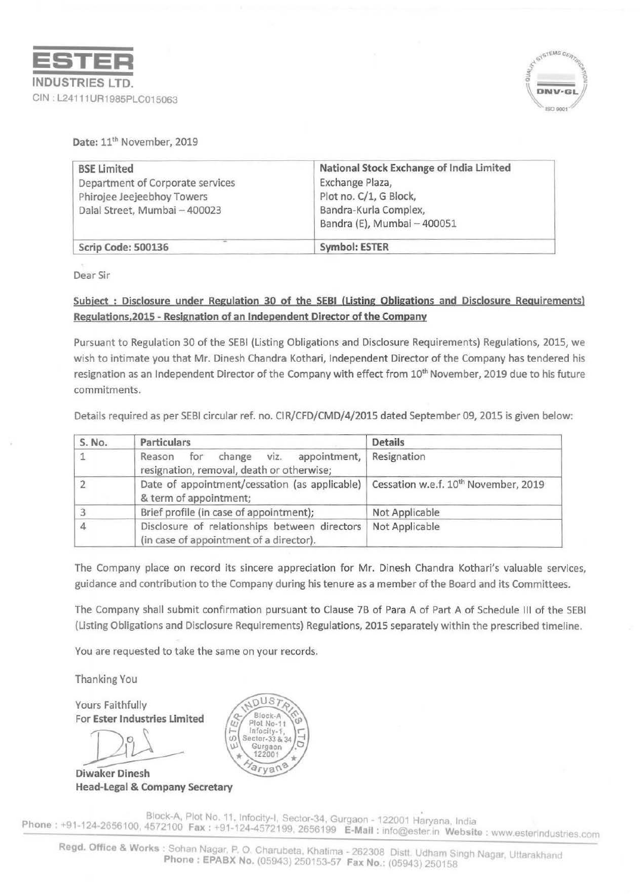



Date:  $11<sup>th</sup>$  November, 2019

| <b>BSE Limited</b>               | National Stock Exchange of India Limited |  |
|----------------------------------|------------------------------------------|--|
| Department of Corporate services | Exchange Plaza,                          |  |
| Phirojee Jeejeebhoy Towers       | Plot no. C/1, G Block,                   |  |
| Dalal Street, Mumbai - 400023    | Bandra-Kurla Complex,                    |  |
|                                  | Bandra (E), Mumbai - 400051              |  |
| Scrip Code: 500136               | Symbol: ESTER                            |  |

Dear Sir

## Subject : Disclosure under Regulation 30 of the SEBI (Listing Obligations and Disclosure Requirements) Regulations,2015 - Resignation of an Independent Director of the Company

Pursuant to Regulation 30 of the SEBI (Listing Obligations and Disclosure Requirements) Regulations, 2015, we wish to intimate you that Mr. Dinesh Chandra Kothari, Independent Director of the Company has tendered his resignation as an Independent Director of the Company with effect from 10<sup>th</sup> November, 2019 due to his future commitments.

Details required as per SEBI circular ref. no. CIR/CFD/CMD/4/2015 dated September 09, 2015 is given below:

| S. No. | Particulars                                                                                  | <b>Details</b>                                   |
|--------|----------------------------------------------------------------------------------------------|--------------------------------------------------|
|        | viz.<br>appointment,<br>for<br>Reason<br>change<br>resignation, removal, death or otherwise; | Resignation                                      |
|        | Date of appointment/cessation (as applicable)<br>& term of appointment;                      | Cessation w.e.f. 10 <sup>th</sup> November, 2019 |
|        | Brief profile (in case of appointment);                                                      | Not Applicable                                   |
|        | Disclosure of relationships between directors<br>(in case of appointment of a director).     | Not Applicable                                   |

The Company place on record its sincere appreciation for Mr. Dinesh Chandra Kothari's valuable services, guidance and contribution to the Company during his tenure as a member of the Board and its Committees.

The Company shall submit confirmation pursuant to Clause 7B of Para A of Part A of Schedule Ill of the SEBI (Listing Obligations and Disclosure Requirements) Regulations, 2015 separately within the prescribed timeline.

You are requested to take the same on your records.

Thanking You

Yours Faithfully For Ester Industries limited

Diwaker Head-legal & Company Secretary



Block-A, Plot No. 11, Infocity-I, Sector-34, Gurgaon - 122001 Haryana, India Phone: +91-124-2656100, 4572100 Fax: +91-124-4572199, 2656199 E-Mail: info@ester.in Website: www.esterindustries.com